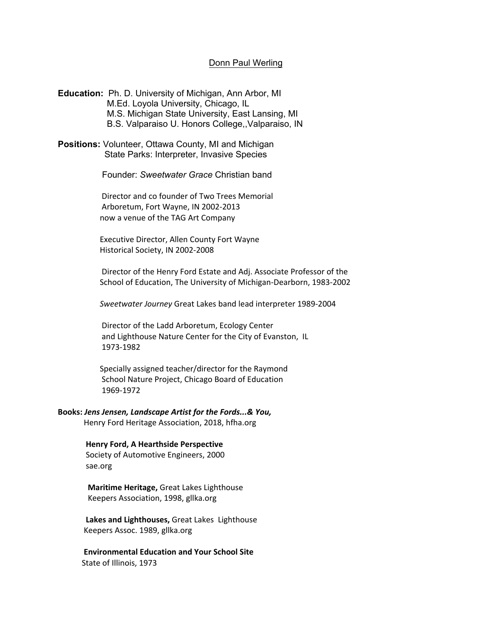## Donn Paul Werling

**Education:** Ph. D. University of Michigan, Ann Arbor, MI M.Ed. Loyola University, Chicago, IL M.S. Michigan State University, East Lansing, MI B.S. Valparaiso U. Honors College,,Valparaiso, IN

**Positions:** Volunteer, Ottawa County, MI and Michigan State Parks: Interpreter, Invasive Species

Founder: *Sweetwater Grace* Christian band

 Director and co founder of Two Trees Memorial Arboretum, Fort Wayne, IN 2002-2013 now a venue of the TAG Art Company

 Executive Director, Allen County Fort Wayne Historical Society, IN 2002-2008

 Director of the Henry Ford Estate and Adj. Associate Professor of the School of Education, The University of Michigan-Dearborn, 1983-2002

*Sweetwater Journey* Great Lakes band lead interpreter 1989-2004

 Director of the Ladd Arboretum, Ecology Center and Lighthouse Nature Center for the City of Evanston, IL 1973-1982

 Specially assigned teacher/director for the Raymond School Nature Project, Chicago Board of Education 1969-1972

## **Books:** *Jens Jensen, Landscape Artist for the Fords...& You,*

Henry Ford Heritage Association, 2018, hfha.org

 **Henry Ford, A Hearthside Perspective** Society of Automotive Engineers, 2000 sae.org

 **Maritime Heritage,** Great Lakes Lighthouse Keepers Association, 1998, gllka.org

 **Lakes and Lighthouses,** Great Lakes Lighthouse Keepers Assoc. 1989, gllka.org

 **Environmental Education and Your School Site** State of Illinois, 1973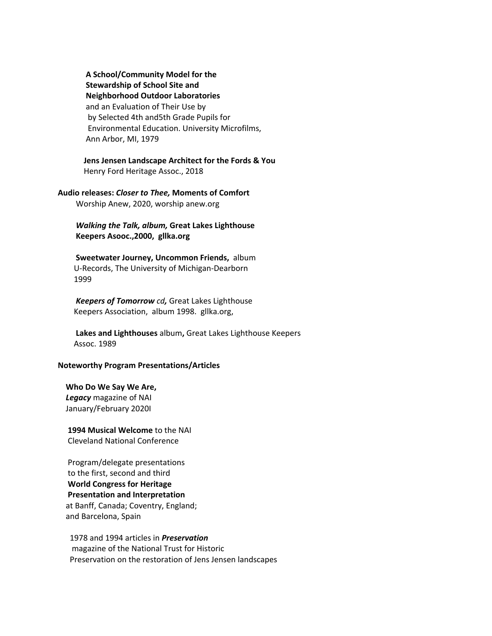**A School/Community Model for the Stewardship of School Site and Neighborhood Outdoor Laboratories** and an Evaluation of Their Use by by Selected 4th and5th Grade Pupils for Environmental Education. University Microfilms, Ann Arbor, MI, 1979

 **Jens Jensen Landscape Architect for the Fords & You** Henry Ford Heritage Assoc., 2018

**Audio releases:** *Closer to Thee,* **Moments of Comfort**

Worship Anew, 2020, worship anew.org

*Walking the Talk, album,* **Great Lakes Lighthouse Keepers Asooc.,2000, gllka.org**

 **Sweetwater Journey, Uncommon Friends,** album U-Records, The University of Michigan-Dearborn 1999

*Keepers of Tomorrow cd,* Great Lakes Lighthouse Keepers Association, album 1998. gllka.org,

 **Lakes and Lighthouses** album**,** Great Lakes Lighthouse Keepers Assoc. 1989

## **Noteworthy Program Presentations/Articles**

 **Who Do We Say We Are,** *Legacy* magazine of NAI January/February 2020I

 **1994 Musical Welcome** to the NAI Cleveland National Conference

 Program/delegate presentations to the first, second and third **World Congress for Heritage Presentation and Interpretation** at Banff, Canada; Coventry, England; and Barcelona, Spain

 1978 and 1994 articles in *Preservation* magazine of the National Trust for Historic Preservation on the restoration of Jens Jensen landscapes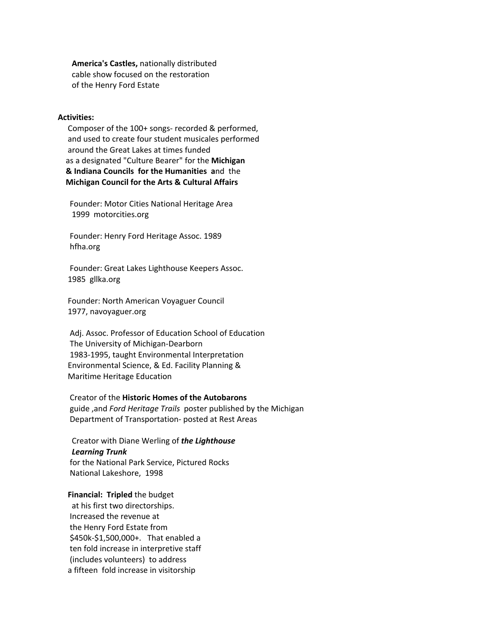**America's Castles,** nationally distributed cable show focused on the restoration of the Henry Ford Estate

### **Activities:**

 Composer of the 100+ songs- recorded & performed, and used to create four student musicales performed around the Great Lakes at times funded as a designated "Culture Bearer" for the **Michigan & Indiana Councils for the Humanities a**nd the **Michigan Council for the Arts & Cultural Affairs**

 Founder: Motor Cities National Heritage Area 1999 motorcities.org

 Founder: Henry Ford Heritage Assoc. 1989 hfha.org

 Founder: Great Lakes Lighthouse Keepers Assoc. 1985 gllka.org

 Founder: North American Voyaguer Council 1977, navoyaguer.org

 Adj. Assoc. Professor of Education School of Education The University of Michigan-Dearborn 1983-1995, taught Environmental Interpretation Environmental Science, & Ed. Facility Planning & Maritime Heritage Education

 Creator of the **Historic Homes of the Autobarons** guide ,and *Ford Heritage Trails* poster published by the Michigan Department of Transportation- posted at Rest Areas

 Creator with Diane Werling of *the Lighthouse Learning Trunk* for the National Park Service, Pictured Rocks National Lakeshore, 1998

 **Financial: Tripled** the budget at his first two directorships. Increased the revenue at the Henry Ford Estate from \$450k-\$1,500,000+. That enabled a ten fold increase in interpretive staff (includes volunteers) to address a fifteen fold increase in visitorship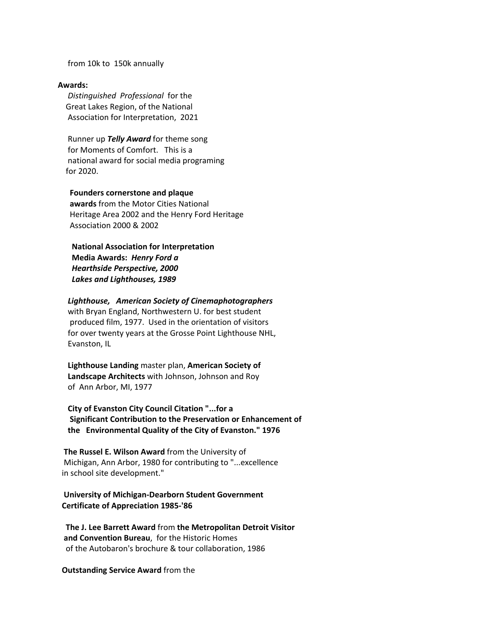from 10k to 150k annually

#### **Awards:**

*Distinguished Professional* for the Great Lakes Region, of the National Association for Interpretation, 2021

 Runner up *Telly Award* for theme song for Moments of Comfort. This is a national award for social media programing for 2020.

# **Founders cornerstone and plaque awards** from the Motor Cities National Heritage Area 2002 and the Henry Ford Heritage Association 2000 & 2002

 **National Association for Interpretation Media Awards:** *Henry Ford a Hearthside Perspective, 2000 Lakes and Lighthouses, 1989*

### *Lighthouse, American Society of Cinemaphotographers*

 with Bryan England, Northwestern U. for best student produced film, 1977. Used in the orientation of visitors for over twenty years at the Grosse Point Lighthouse NHL, Evanston, IL

 **Lighthouse Landing** master plan, **American Society of Landscape Architects** with Johnson, Johnson and Roy of Ann Arbor, MI, 1977

 **City of Evanston City Council Citation "...for a Significant Contribution to the Preservation or Enhancement of the Environmental Quality of the City of Evanston." 1976**

 **The Russel E. Wilson Award** from the University of Michigan, Ann Arbor, 1980 for contributing to "...excellence in school site development."

# **University of Michigan-Dearborn Student Government Certificate of Appreciation 1985-'86**

 **The J. Lee Barrett Award** from **the Metropolitan Detroit Visitor and Convention Bureau**, for the Historic Homes of the Autobaron's brochure & tour collaboration, 1986

#### **Outstanding Service Award** from the